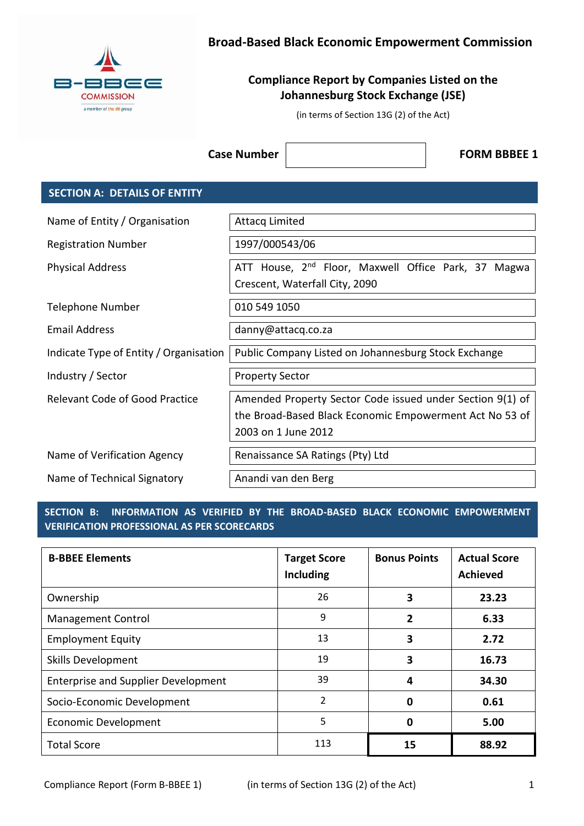

# **Broad-Based Black Economic Empowerment Commission**

# **Compliance Report by Companies Listed on the Johannesburg Stock Exchange (JSE)**

(in terms of Section 13G (2) of the Act)

**Case Number**  $\vert$  **FORM BBBEE 1** 

## **SECTION A: DETAILS OF ENTITY**

| Name of Entity / Organisation          | <b>Attacq Limited</b>                                                                                                                       |  |
|----------------------------------------|---------------------------------------------------------------------------------------------------------------------------------------------|--|
| <b>Registration Number</b>             | 1997/000543/06                                                                                                                              |  |
| <b>Physical Address</b>                | ATT House, 2 <sup>nd</sup> Floor, Maxwell Office Park, 37 Magwa<br>Crescent, Waterfall City, 2090                                           |  |
| Telephone Number                       | 010 549 1050                                                                                                                                |  |
| <b>Email Address</b>                   | danny@attacq.co.za                                                                                                                          |  |
| Indicate Type of Entity / Organisation | Public Company Listed on Johannesburg Stock Exchange                                                                                        |  |
| Industry / Sector                      | <b>Property Sector</b>                                                                                                                      |  |
| <b>Relevant Code of Good Practice</b>  | Amended Property Sector Code issued under Section 9(1) of<br>the Broad-Based Black Economic Empowerment Act No 53 of<br>2003 on 1 June 2012 |  |
| Name of Verification Agency            | Renaissance SA Ratings (Pty) Ltd                                                                                                            |  |
| Name of Technical Signatory            | Anandi van den Berg                                                                                                                         |  |

## **SECTION B: INFORMATION AS VERIFIED BY THE BROAD-BASED BLACK ECONOMIC EMPOWERMENT VERIFICATION PROFESSIONAL AS PER SCORECARDS**

| <b>B-BBEE Elements</b>                     | <b>Target Score</b><br>Including | <b>Bonus Points</b> | <b>Actual Score</b><br><b>Achieved</b> |
|--------------------------------------------|----------------------------------|---------------------|----------------------------------------|
| Ownership                                  | 26                               | 3                   | 23.23                                  |
| <b>Management Control</b>                  | 9                                | 2                   | 6.33                                   |
| <b>Employment Equity</b>                   | 13                               | 3                   | 2.72                                   |
| Skills Development                         | 19                               | 3                   | 16.73                                  |
| <b>Enterprise and Supplier Development</b> | 39                               | 4                   | 34.30                                  |
| Socio-Economic Development                 | $\overline{2}$                   | 0                   | 0.61                                   |
| Economic Development                       | 5                                | 0                   | 5.00                                   |
| <b>Total Score</b>                         | 113                              | 15                  | 88.92                                  |